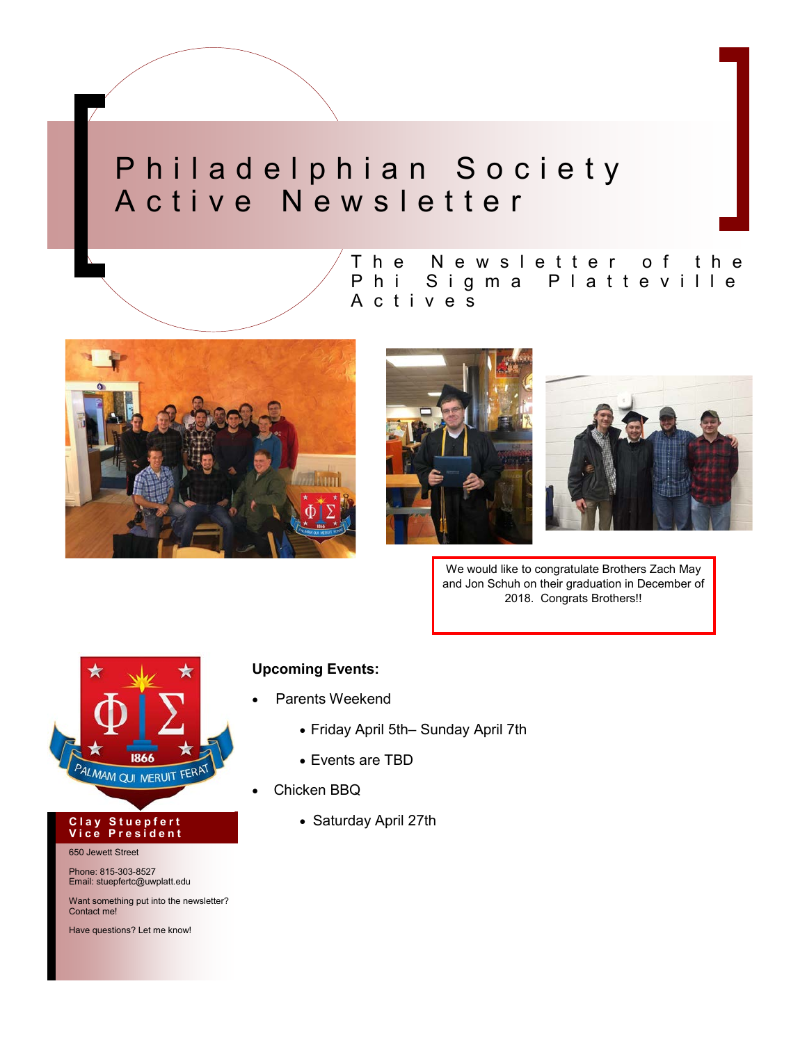## Philadelphian Society A c t i v e N e w s l e t t e r



The Newsletter of the







We would like to congratulate Brothers Zach May and Jon Schuh on their graduation in December of 2018. Congrats Brothers!!



#### **C l a y S t u e p f e r t V i c e P r e s i d e n t**

650 Jewett Street

Phone: 815-303-8527 Email: stuepfertc@uwplatt.edu

Want something put into the newsletter? Contact me!

Have questions? Let me know!

### **Upcoming Events:**

- Parents Weekend
	- Friday April 5th– Sunday April 7th
	- Events are TBD
- Chicken BBQ
	- Saturday April 27th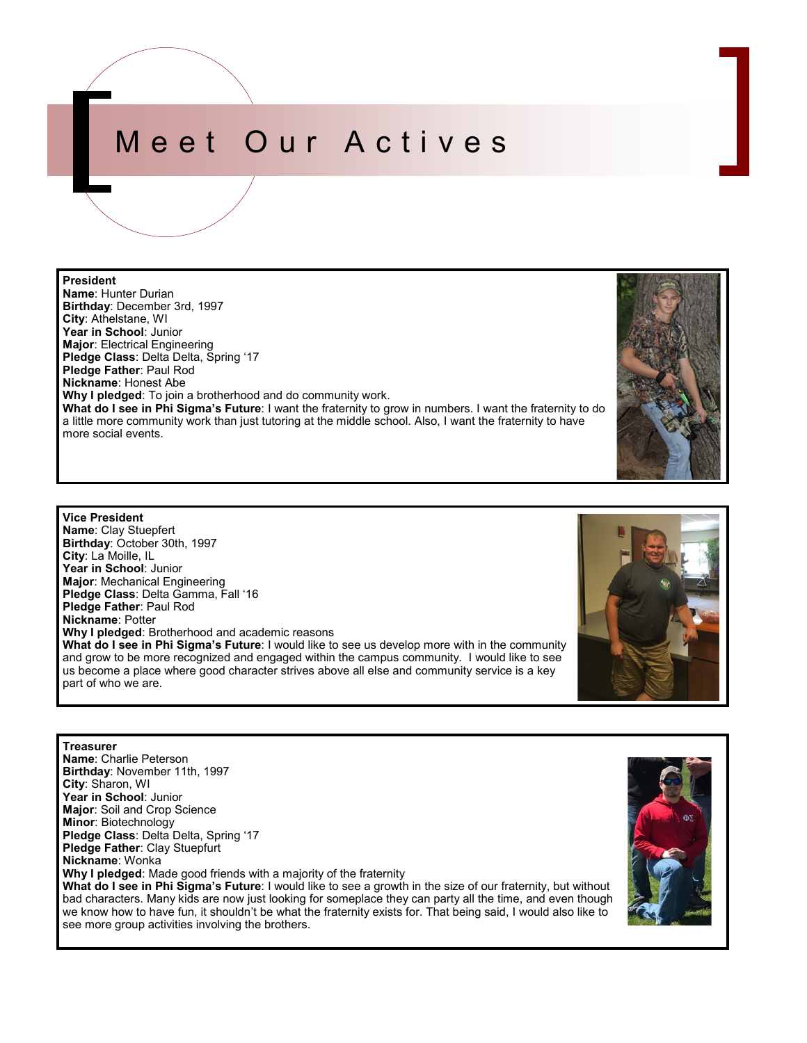# Meet Our Actives

### **President**

part of who we are.

**Name**: Hunter Durian **Birthday**: December 3rd, 1997 **City**: Athelstane, WI **Year in School**: Junior **Major**: Electrical Engineering **Pledge Class**: Delta Delta, Spring '17 **Pledge Father**: Paul Rod **Nickname**: Honest Abe **Why I pledged**: To join a brotherhood and do community work. **What do I see in Phi Sigma's Future**: I want the fraternity to grow in numbers. I want the fraternity to do a little more community work than just tutoring at the middle school. Also, I want the fraternity to have more social events.

**Vice President Name**: Clay Stuepfert **Birthday**: October 30th, 1997 **City**: La Moille, IL **Year in School**: Junior **Major**: Mechanical Engineering **Pledge Class**: Delta Gamma, Fall '16 **Pledge Father**: Paul Rod **Nickname**: Potter **Why I pledged**: Brotherhood and academic reasons **What do I see in Phi Sigma's Future**: I would like to see us develop more with in the community and grow to be more recognized and engaged within the campus community. I would like to see us become a place where good character strives above all else and community service is a key

see more group activities involving the brothers.

**Treasurer Name**: Charlie Peterson **Birthday**: November 11th, 1997 **City**: Sharon, WI **Year in School**: Junior **Major**: Soil and Crop Science **Minor**: Biotechnology **Pledge Class**: Delta Delta, Spring '17 **Pledge Father**: Clay Stuepfurt **Nickname**: Wonka **Why I pledged**: Made good friends with a majority of the fraternity **What do I see in Phi Sigma's Future**: I would like to see a growth in the size of our fraternity, but without bad characters. Many kids are now just looking for someplace they can party all the time, and even though

we know how to have fun, it shouldn't be what the fraternity exists for. That being said, I would also like to





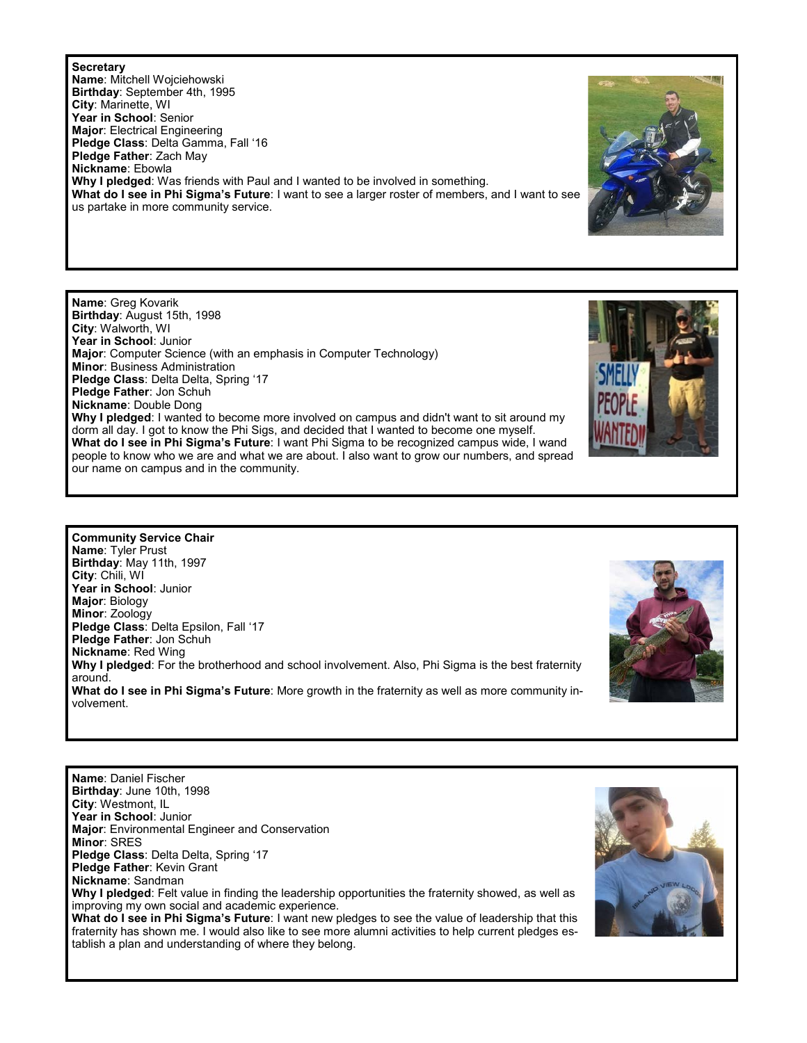### **Secretary**

**Name**: Mitchell Wojciehowski **Birthday**: September 4th, 1995 **City**: Marinette, WI **Year in School**: Senior **Major**: Electrical Engineering **Pledge Class**: Delta Gamma, Fall '16 **Pledge Father**: Zach May **Nickname**: Ebowla **Why I pledged**: Was friends with Paul and I wanted to be involved in something. **What do I see in Phi Sigma's Future**: I want to see a larger roster of members, and I want to see us partake in more community service.

**Name**: Greg Kovarik **Birthday**: August 15th, 1998 **City**: Walworth, WI **Year in School**: Junior **Major**: Computer Science (with an emphasis in Computer Technology) **Minor**: Business Administration **Pledge Class**: Delta Delta, Spring '17 **Pledge Father**: Jon Schuh **Nickname**: Double Dong **Why I pledged**: I wanted to become more involved on campus and didn't want to sit around my dorm all day. I got to know the Phi Sigs, and decided that I wanted to become one myself. **What do I see in Phi Sigma's Future**: I want Phi Sigma to be recognized campus wide, I wand people to know who we are and what we are about. I also want to grow our numbers, and spread our name on campus and in the community.





**Name**: Daniel Fischer **Birthday**: June 10th, 1998 **City**: Westmont, IL **Year in School**: Junior **Major**: Environmental Engineer and Conservation **Minor**: SRES **Pledge Class**: Delta Delta, Spring '17 **Pledge Father**: Kevin Grant **Nickname**: Sandman **Why I pledged**: Felt value in finding the leadership opportunities the fraternity showed, as well as improving my own social and academic experience. **What do I see in Phi Sigma's Future**: I want new pledges to see the value of leadership that this fraternity has shown me. I would also like to see more alumni activities to help current pledges establish a plan and understanding of where they belong.



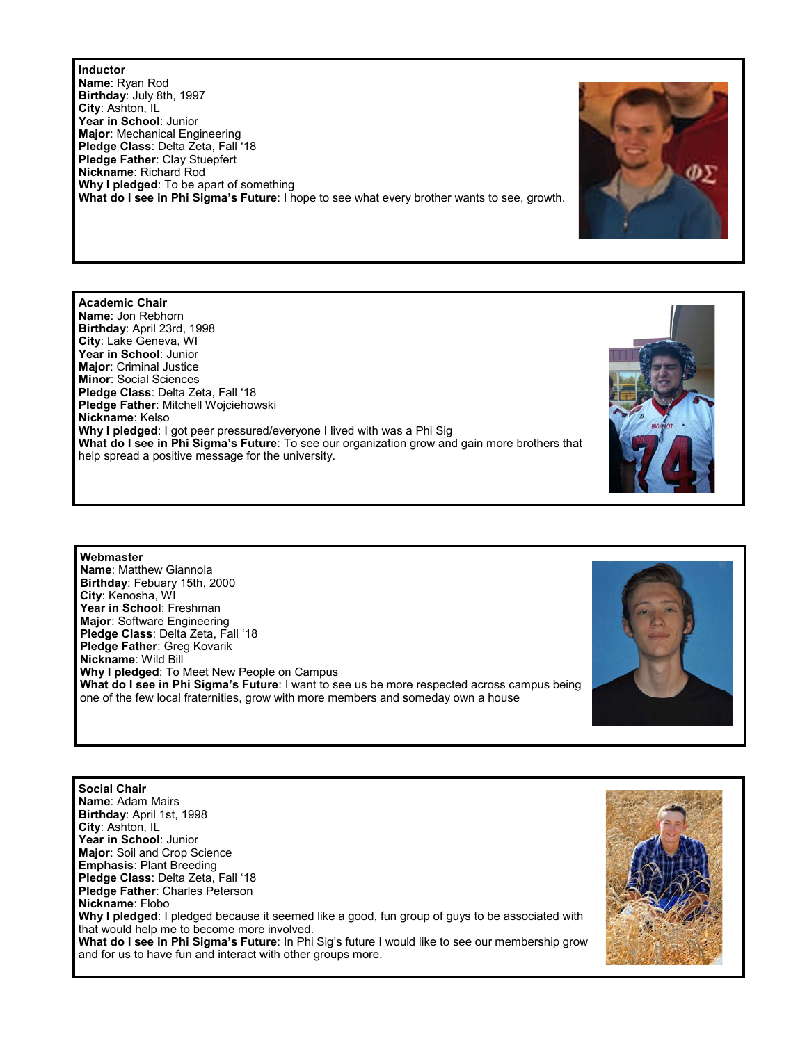**Inductor Name**: Ryan Rod **Birthday**: July 8th, 1997 **City**: Ashton, IL **Year in School**: Junior **Major**: Mechanical Engineering **Pledge Class**: Delta Zeta, Fall '18 **Pledge Father**: Clay Stuepfert **Nickname**: Richard Rod **Why I pledged**: To be apart of something **What do I see in Phi Sigma's Future**: I hope to see what every brother wants to see, growth.

**Name**: Jon Rebhorn **Birthday**: April 23rd, 1998 **City**: Lake Geneva, WI **Year in School**: Junior **Major**: Criminal Justice **Minor**: Social Sciences **Pledge Class**: Delta Zeta, Fall '18 **Pledge Father**: Mitchell Wojciehowski **Nickname**: Kelso **Why I pledged**: I got peer pressured/everyone I lived with was a Phi Sig **What do I see in Phi Sigma's Future**: To see our organization grow and gain more brothers that help spread a positive message for the university.

**Academic Chair**

**Webmaster Name**: Matthew Giannola **Birthday**: Febuary 15th, 2000 **City**: Kenosha, WI **Year in School**: Freshman **Major**: Software Engineering **Pledge Class**: Delta Zeta, Fall '18 **Pledge Father**: Greg Kovarik **Nickname**: Wild Bill **Why I pledged**: To Meet New People on Campus **What do I see in Phi Sigma's Future**: I want to see us be more respected across campus being one of the few local fraternities, grow with more members and someday own a house



**Social Chair Name**: Adam Mairs **Birthday**: April 1st, 1998 **City**: Ashton, IL **Year in School**: Junior **Major**: Soil and Crop Science **Emphasis**: Plant Breeding **Pledge Class**: Delta Zeta, Fall '18 **Pledge Father**: Charles Peterson **Nickname**: Flobo **Why I pledged**: I pledged because it seemed like a good, fun group of guys to be associated with that would help me to become more involved. **What do I see in Phi Sigma's Future**: In Phi Sig's future I would like to see our membership grow and for us to have fun and interact with other groups more.